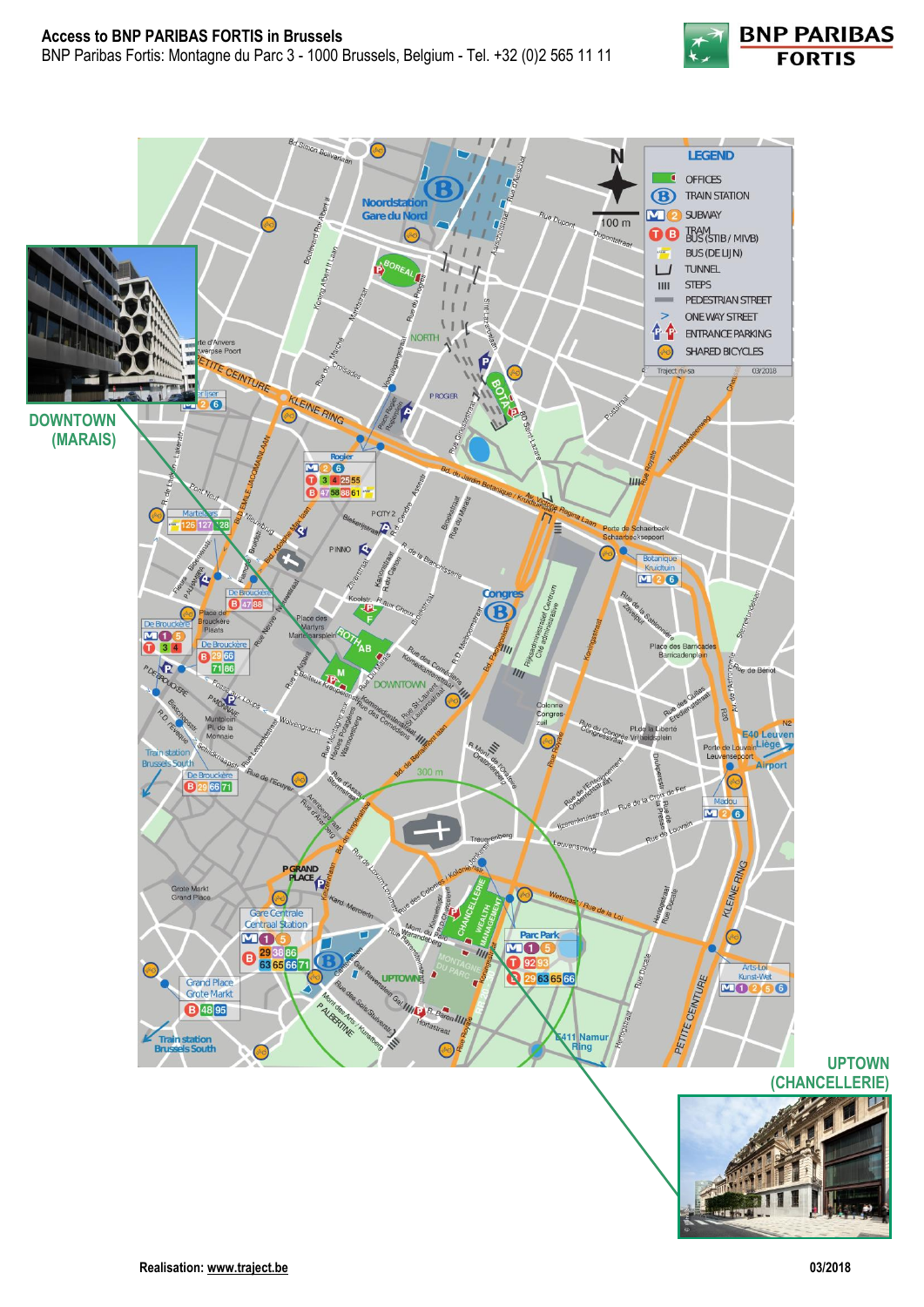





**UPTOWN**